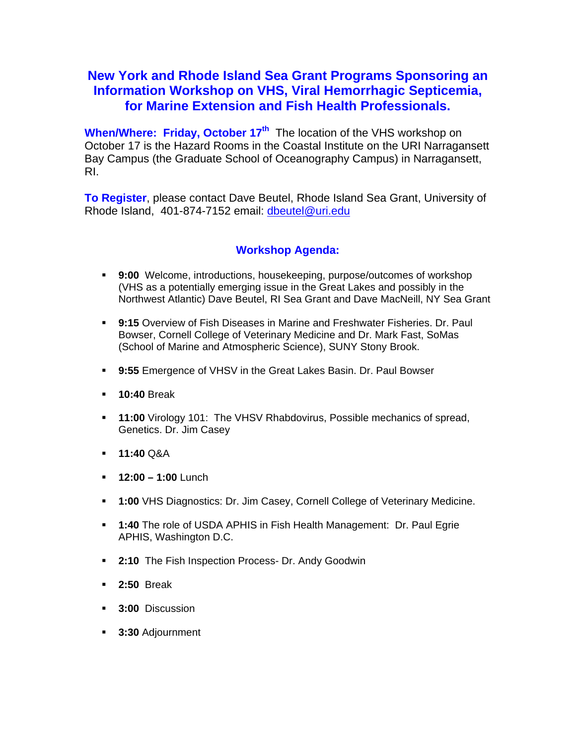## **New York and Rhode Island Sea Grant Programs Sponsoring an Information Workshop on VHS, Viral Hemorrhagic Septicemia, for Marine Extension and Fish Health Professionals.**

**When/Where: Friday, October 17<sup>th</sup>** The location of the VHS workshop on October 17 is the Hazard Rooms in the Coastal Institute on the URI Narragansett Bay Campus (the Graduate School of Oceanography Campus) in Narragansett, RI.

**To Register**, please contact Dave Beutel, Rhode Island Sea Grant, University of Rhode Island, 401-874-7152 email: [dbeutel@uri.edu](mailto:dbeutel@uri.edu)

## **Workshop Agenda:**

- **9:00** Welcome, introductions, housekeeping, purpose/outcomes of workshop (VHS as a potentially emerging issue in the Great Lakes and possibly in the Northwest Atlantic) Dave Beutel, RI Sea Grant and Dave MacNeill, NY Sea Grant
- **9:15** Overview of Fish Diseases in Marine and Freshwater Fisheries. Dr. Paul Bowser, Cornell College of Veterinary Medicine and Dr. Mark Fast, SoMas (School of Marine and Atmospheric Science), SUNY Stony Brook.
- **9:55** Emergence of VHSV in the Great Lakes Basin. Dr. Paul Bowser
- **10:40** Break
- **11:00** Virology 101: The VHSV Rhabdovirus, Possible mechanics of spread, Genetics. Dr. Jim Casey
- **11:40** Q&A
- **12:00 1:00** Lunch
- **1:00** VHS Diagnostics: Dr. Jim Casey, Cornell College of Veterinary Medicine.
- **1:40** The role of USDA APHIS in Fish Health Management: Dr. Paul Egrie APHIS, Washington D.C.
- **2:10** The Fish Inspection Process- Dr. Andy Goodwin
- **2:50** Break
- **3:00** Discussion
- **3:30** Adjournment